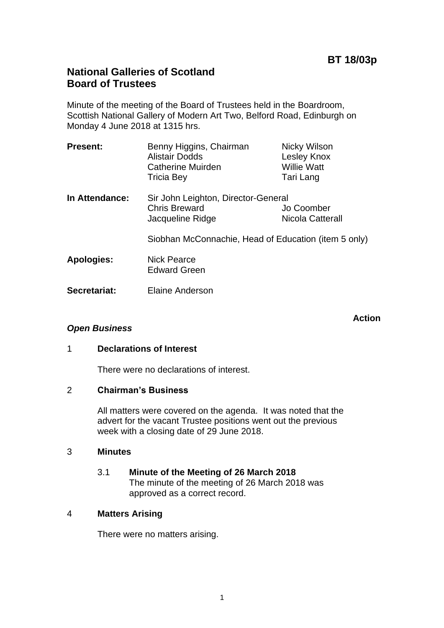## **National Galleries of Scotland Board of Trustees**

Minute of the meeting of the Board of Trustees held in the Boardroom, Scottish National Gallery of Modern Art Two, Belford Road, Edinburgh on Monday 4 June 2018 at 1315 hrs.

| <b>Present:</b>   | Benny Higgins, Chairman<br><b>Alistair Dodds</b><br>Catherine Muirden<br>Tricia Bey | Nicky Wilson<br>Lesley Knox<br><b>Willie Watt</b><br>Tari Lang |
|-------------------|-------------------------------------------------------------------------------------|----------------------------------------------------------------|
| In Attendance:    | Sir John Leighton, Director-General<br><b>Chris Breward</b><br>Jacqueline Ridge     | Jo Coomber<br>Nicola Catterall                                 |
|                   | Siobhan McConnachie, Head of Education (item 5 only)                                |                                                                |
| <b>Apologies:</b> | <b>Nick Pearce</b><br><b>Edward Green</b>                                           |                                                                |

**Secretariat:** Elaine Anderson

#### **Action**

## *Open Business*

## 1 **Declarations of Interest**

There were no declarations of interest.

## 2 **Chairman's Business**

All matters were covered on the agenda. It was noted that the advert for the vacant Trustee positions went out the previous week with a closing date of 29 June 2018.

## 3 **Minutes**

## 3.1 **Minute of the Meeting of 26 March 2018**

The minute of the meeting of 26 March 2018 was approved as a correct record.

## 4 **Matters Arising**

There were no matters arising.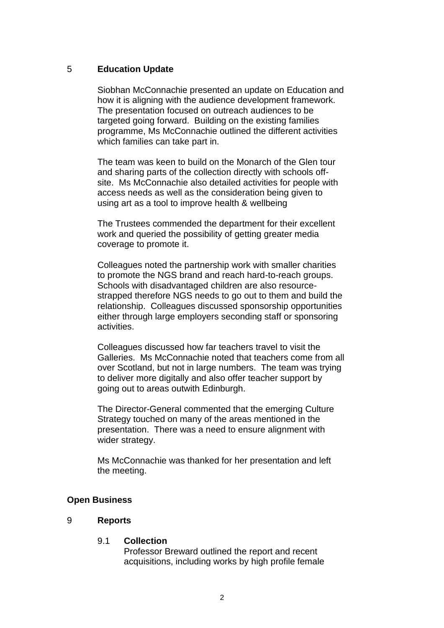### 5 **Education Update**

Siobhan McConnachie presented an update on Education and how it is aligning with the audience development framework. The presentation focused on outreach audiences to be targeted going forward. Building on the existing families programme, Ms McConnachie outlined the different activities which families can take part in.

The team was keen to build on the Monarch of the Glen tour and sharing parts of the collection directly with schools offsite. Ms McConnachie also detailed activities for people with access needs as well as the consideration being given to using art as a tool to improve health & wellbeing

The Trustees commended the department for their excellent work and queried the possibility of getting greater media coverage to promote it.

Colleagues noted the partnership work with smaller charities to promote the NGS brand and reach hard-to-reach groups. Schools with disadvantaged children are also resourcestrapped therefore NGS needs to go out to them and build the relationship. Colleagues discussed sponsorship opportunities either through large employers seconding staff or sponsoring activities.

Colleagues discussed how far teachers travel to visit the Galleries. Ms McConnachie noted that teachers come from all over Scotland, but not in large numbers. The team was trying to deliver more digitally and also offer teacher support by going out to areas outwith Edinburgh.

The Director-General commented that the emerging Culture Strategy touched on many of the areas mentioned in the presentation. There was a need to ensure alignment with wider strategy.

Ms McConnachie was thanked for her presentation and left the meeting.

#### **Open Business**

#### 9 **Reports**

## 9.1 **Collection**

Professor Breward outlined the report and recent acquisitions, including works by high profile female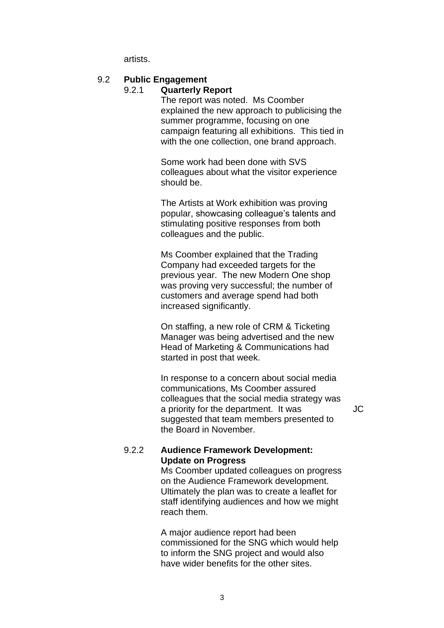artists.

#### 9.2 **Public Engagement**

#### 9.2.1 **Quarterly Report**

The report was noted. Ms Coomber explained the new approach to publicising the summer programme, focusing on one campaign featuring all exhibitions. This tied in with the one collection, one brand approach.

Some work had been done with SVS colleagues about what the visitor experience should be.

The Artists at Work exhibition was proving popular, showcasing colleague's talents and stimulating positive responses from both colleagues and the public.

Ms Coomber explained that the Trading Company had exceeded targets for the previous year. The new Modern One shop was proving very successful; the number of customers and average spend had both increased significantly.

On staffing, a new role of CRM & Ticketing Manager was being advertised and the new Head of Marketing & Communications had started in post that week.

In response to a concern about social media communications, Ms Coomber assured colleagues that the social media strategy was a priority for the department. It was suggested that team members presented to the Board in November.

JC

## 9.2.2 **Audience Framework Development: Update on Progress**

Ms Coomber updated colleagues on progress on the Audience Framework development. Ultimately the plan was to create a leaflet for staff identifying audiences and how we might reach them.

A major audience report had been commissioned for the SNG which would help to inform the SNG project and would also have wider benefits for the other sites.